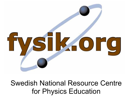

Swedish National Resource Centre for Physics Education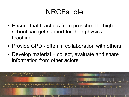#### NRCFs role

- Ensure that teachers from preschool to highschool can get support for their physics teaching
- Provide CPD often in collaboration with others
- Develop material + collect, evaluate and share information from other actors

●

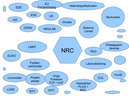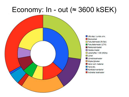#### Economy:  $In$  - out ( $\approx$  3600 kSEK)

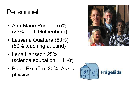#### Personnel

- Ann-Marie Pendrill 75% (25% at U. Gothenburg)
- Lassana Ouattara (50%) (50% teaching at Lund)
- $\cdot$  Lena Hansson 25% (science education, + HKr)
- Peter Ekström, 20%, Ask-aphysicist



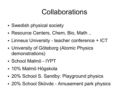#### Collaborations

- Swedish physical society
- Resource Centers, Chem, Bio, Math...
- Linneus University teacher conference + ICT
- University of Göteborg (Atomic Physics demonstrations)
- School Malmö IYPT
- 10% Malmö Högskola
- 20% School S. Sandby: Playground physics
- 20% School Skövde Amusement park physics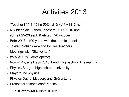#### Activites 2013

- "Teacher lift", 1-45 hp 50%, vt13-vt14 + ht13-ht14
- NO-biennials, School teachers (7-15) 9-10 april (Umeå 25-26 sept, Karlstad, 7-8 oktober)
- Bohr 2013 100 years with the atomic model
- Teknik&Natur: Www site for K-6 teachers
- Meetings with "Skolverket"
- $\bullet$  (WWW + "NT-developers")
- Nordic Physics Days 2013, Lund (High-school + research)
- Physics Bridge high school university
- Playground physics
- Physics Day at Liseberg and Gröna Lund
- Preschool science conferences

http://www2.fysik.org/gymnasiet/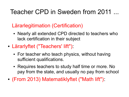#### Teacher CPD in Sweden from 2011 ...

Lärarlegitimation (Certification)

- Nearly all extended CPD directed to teachers who lack certification in their subject
- Lärarlyftet ("Teachers' lift"):
	- For teacher who teach physics, without having sufficient qualifications.
	- Requires teachers to study half time or more. No pay from the state, and usually no pay from school
- (From 2013) Matematiklyftet ("Math lift"):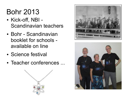#### Bohr 2013

- Kick-off, NBI -Scandinavian teachers
- Bohr Scandinavian booklet for schools available on line
- Science festival
- Teacher conferences ...





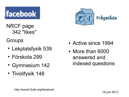

NRCF page 342 "likes"

**Groups** 

- Lekplatsfysik 539
- Förskola 299
- Gymnasium 142
- Tivolifysik 148



- Active since 1994
- More than 6000 answered and indexed questions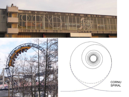



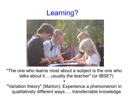#### Learning?



"The one who learns most about a subject is the one who talks about it ... usually the teacher" (or IBSE?)

+

"Variation theory" (Marton): Experience a phenomenon in qualitatively different ways .... transferrable knowledge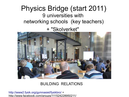#### Physics Bridge (start 2011) 9 universities with networking schools (key teachers)

+ "Skolverket"



#### BUILDING RELATIONS

<http://www2.fysik.org/gymnasiet/fysikbro/>+ http://www.facebook.com/groups/111524228950211/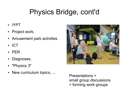## Physics Bridge, cont'd

- IYPT
- Project work,
- Amusement park activities
- ICT
- PER
- Diagnoses,
- "Physics 3"
- New curriculum topics, ...

Presentations + small group discussions + forming work groups

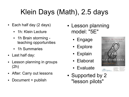## Klein Days (Math), 2.5 days

- Each half day (2 days)
	- 1h: Klein Lecture
	- 1h Brain storming teaching opportunities
	- 1h Summaries
- Last half day:
- Lesson planning in groups (2h)
- After: Carry out lessons
- Document + publish
- Lesson planning model: "5E"
	- Engage
	- Explore
	- Explain
	- Elaborat
	- Evaluate
- Supported by 2 "lesson pilots"

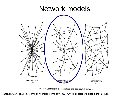#### Network models



FIG. I - Centralized, Decentralized and Distributed Networks

http://en.wikinoticia.com/Technology/general-technology/73667-why-is-it-possible-to-disable-the-internet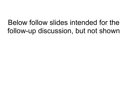#### Below follow slides intended for the follow-up discussion, but not shown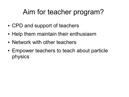## Aim for teacher program?

- CPD and support of teachers
- Help them maintain their enthusiasm
- Network with other teachers
- Empower teachers to teach about particle physics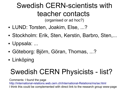## Swedish CERN-scientists with teacher contacts

(organised or ad hoc?)

- LUND: Torsten, Joakim, Else, ...?
- Stockholm: Erik, Sten, Kerstin, Barbro, Sten,...
- Uppsala: ...
- Göteborg: Björn, Göran, Thomas, ...?
- Linköping

## Swedish CERN Physicists - list?

Comments: I found the page <http://international-relations.web.cern.ch/International-Relations/ms/se.html> I think this could be complemented with direct link to the research group www-page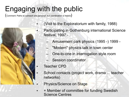#### Engaging with the public

(Comment: Paths to outreach are personal, but coordination is helpful)



- (Visit to the Exploratorium with family, 1988)
	- Participating in Gothenburg international Science festival, 1997 -
		- Amusement park physics (1995 -) 1999 -
		- "Modern" physics talk in town center
		- One-to-one in interrogation style room
			- Session coordinator
- Teacher CPD
- School contacts (project work, drama ... teacher networks)
	- Physics/Science on Stage
- + Member of committee for funding Swedish Science Centres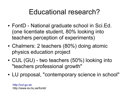#### Educational research?

- FontD National graduate school in Sci.Ed. (one licentiate student, 80% looking into teachers perception of experiments)
- Chalmers: 2 teachers (80%) doing atomic physics education project
- CUL (GU) two teachers (50%) looking into "teachers professional growth"
- LU proposal, "contemporary science in school"

[http://cul.gu.se](http://cul.gu.se/) http://www.isv.liu.se/fontd/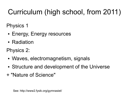# Curriculum (high school, from 2011)

Physics 1

- Energy, Energy resources
- Radiation
- Physics 2:
- Waves, electromagnetism, signals
- Structure and development of the Universe
- + "Nature of Science"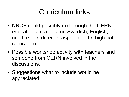#### Curriculum links

- NRCF could possibly go through the CERN educational material (in Swedish, English, ...) and link it to different aspects of the high-school curriculum
- Possible workshop activity with teachers and someone from CERN involved in the discussions.
- Suggestions what to include would be appreciated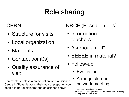## Role sharing

#### **CERN**

- Structure for visits
- Local organization
- Materials
- Contact point(s)
- Quality assurance of visit

Comment: I enclose a presentation from a Science Centre in Slovenia about their way of preparing young people to be "explainers" and do science shows.<br>I need help to mail teachers and

#### NRCF (Possible roles)

- Information to teachers
- "Curriculum fit"
- EEEEE in material?
- Follow-up:
	- Evaluation
	- Arrange alumni network meeting

will send out draft questionnaire for review, before asking for help with mailing /A-M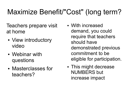## Maximize Benefit/"Cost" (long term?

Teachers prepare visit at home

- View introductory video
- Webinar with questions
- Masterclasses for teachers?
- With increased demand, you could require that teachers should have demonstrated previous commitment to be eligible for participation.
- This might decrease NUMBERS but increase impact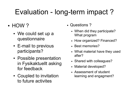## Evaluation - long-term impact ?

- $\cdot$  HOW ?
	- We could set up a questionnaire
	- E-mail to previous participants?
	- Possible presentation in Fysikaktuellt asking for feedback
	- Coupled to invitation to future activites
- Questions?
	- When did they participate? What program
	- How organized? Financed?
	- Best memories?
	- What material have they used after?
	- Shared with colleagues?
	- Material developed?
	- Assessment of student learning and engagment?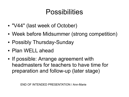#### Possibilities

- "V44" (last week of October)
- Week before Midsummer (strong competition)
- Possibly Thursday-Sunday
- Plan WELL ahead
- If possible: Arrange agreement with headmasters for teachers to have time for preparation and follow-up (later stage)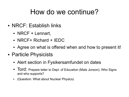#### How do we continue?

- NRCF: Establish links
	- NRCF  $+$  Lennart,
	- $\cdot$  NRCF+ Richard + IEDC
	- Agree on what is offered when and how to present it!
- Particle Physicists
	- Alert section in Fysikersamfundet on dates
	- Tord: Prepare letter to Dept. of Education (Mats Jonson), Who Signs and who supports?
	- (Question: What about Nuclear Physics)